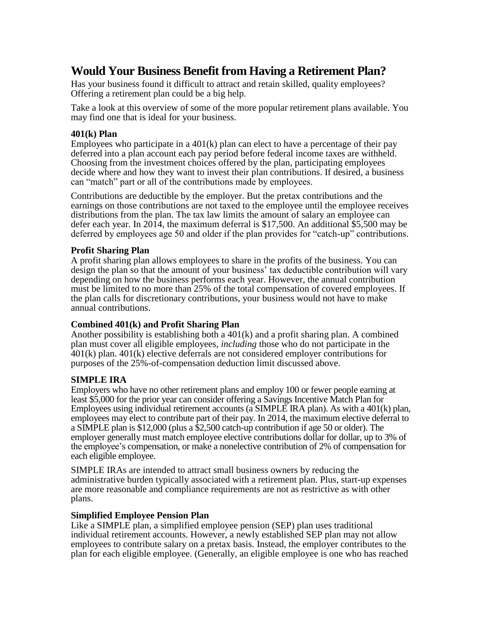# **Would Your Business Benefit from Having a Retirement Plan?**

Has your business found it difficult to attract and retain skilled, quality employees? Offering a retirement plan could be a big help.

Take a look at this overview of some of the more popular retirement plans available. You may find one that is ideal for your business.

### **401(k) Plan**

Employees who participate in a  $401(k)$  plan can elect to have a percentage of their pay deferred into a plan account each pay period before federal income taxes are withheld. Choosing from the investment choices offered by the plan, participating employees decide where and how they want to invest their plan contributions. If desired, a business can "match" part or all of the contributions made by employees.

Contributions are deductible by the employer. But the pretax contributions and the earnings on those contributions are not taxed to the employee until the employee receives distributions from the plan. The tax law limits the amount of salary an employee can defer each year. In 2014, the maximum deferral is \$17,500. An additional \$5,500 may be deferred by employees age 50 and older if the plan provides for "catch-up" contributions.

### **Profit Sharing Plan**

A profit sharing plan allows employees to share in the profits of the business. You can design the plan so that the amount of your business' tax deductible contribution will vary depending on how the business performs each year. However, the annual contribution must be limited to no more than 25% of the total compensation of covered employees. If the plan calls for discretionary contributions, your business would not have to make annual contributions.

# **Combined 401(k) and Profit Sharing Plan**

Another possibility is establishing both a  $401(k)$  and a profit sharing plan. A combined plan must cover all eligible employees, *including* those who do not participate in the 401(k) plan. 401(k) elective deferrals are not considered employer contributions for purposes of the 25%-of-compensation deduction limit discussed above.

# **SIMPLE IRA**

Employers who have no other retirement plans and employ 100 or fewer people earning at least \$5,000 for the prior year can consider offering a Savings Incentive Match Plan for Employees using individual retirement accounts (a SIMPLE IRA plan). As with a 401(k) plan, employees may elect to contribute part of their pay. In 2014, the maximum elective deferral to a SIMPLE plan is \$12,000 (plus a \$2,500 catch-up contribution if age 50 or older). The employer generally must match employee elective contributions dollar for dollar, up to 3% of the employee's compensation, or make a nonelective contribution of 2% of compensation for each eligible employee.

SIMPLE IRAs are intended to attract small business owners by reducing the administrative burden typically associated with a retirement plan. Plus, start-up expenses are more reasonable and compliance requirements are not as restrictive as with other plans.

# **Simplified Employee Pension Plan**

Like a SIMPLE plan, a simplified employee pension (SEP) plan uses traditional individual retirement accounts. However, a newly established SEP plan may not allow employees to contribute salary on a pretax basis. Instead, the employer contributes to the plan for each eligible employee. (Generally, an eligible employee is one who has reached